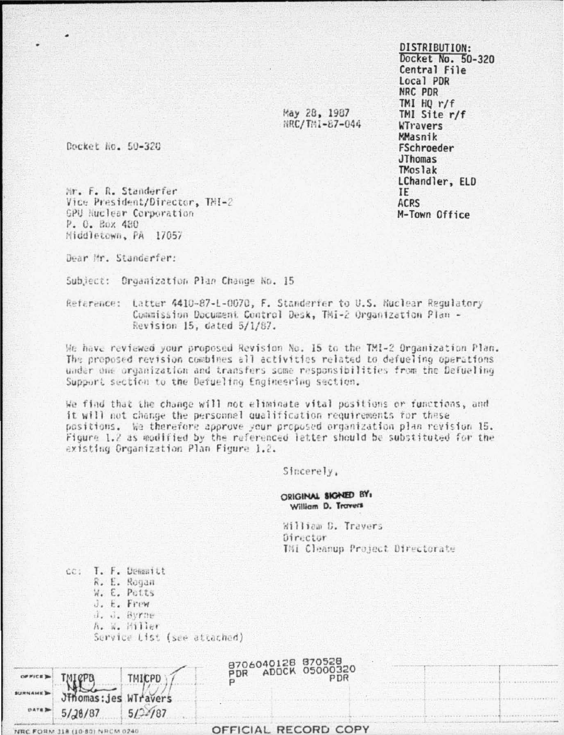DISTRIBUTION-Docket No. 50-320 Central File Local PDR NRC PDR TMI HO r/f TMI Site r/f **WTravers MMasnik FSchroeder** JThomas TMoslak LChandler, ELD TF. **ACRS** M-Town Office

May 28, 1987 NRC/TMI-87-044

Docket No. 50-320

Mr. F. R. Standerfer Vice President/Director, TMI-2 **GPU Nuclear Corporation** P. O. Box 480 Middletown, PA 17057

Doar Mr. Standerfer:

Subject: Organization Plan Change No. 15

Reference: Latter 4410-87-L-0070, F. Standerfer to U.S. Nuclear Regulatory Commission Document Control Desk, TMI-2 Organization Plan -Revision 15, dated 5/1/87.

Me have reviewed your proposed Revision No. 15 to the TM1-2 Organization Plan. The proposed revision combines all activities related to defueling operations under one organization and transfers some responsibilities from the Defueling Support section to the Defueling Engineering section.

We find that the change will not eliminate vital positions or functions, and it will not change the personnel qualification requirements for these positions. We therefore approve your proposed organization plan revision 15. Figure 1.2 as modified by the referenced letter should be substituted for the existing Organization Plan Figure 1.2.

Sincerely,

ORIGINAL SIGNED BY: William D. Travers

William D. Travers Director TMI Cleanup Project Directorate

> .................. .............................

cc: T. F. Demmitt R. E. Rogan W. E. Potts J. E. Frew J. J. Byrne A. W. Hiller Service List (see attached)

| SUMMARE THE THE THEFT          |         | B706040128 87056920<br>PDR |  |
|--------------------------------|---------|----------------------------|--|
| $max2 = 5/28/87$               | 5/24/87 |                            |  |
| NRC FORM 318 (10-80) NRCM 0240 |         | OFFICIAL RECORD COPY       |  |